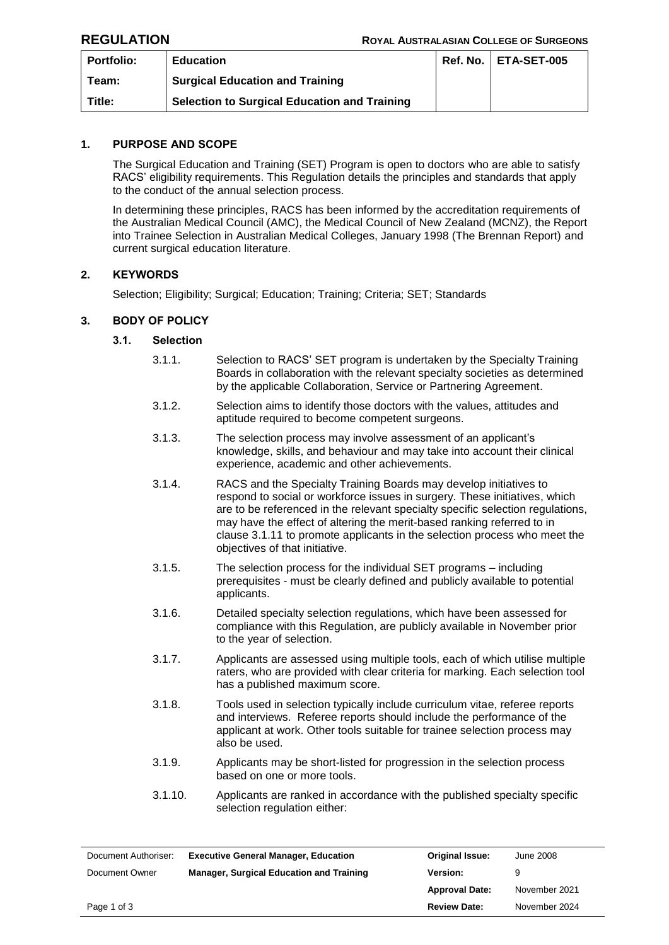| Portfolio: | <b>Education</b>                                    | Ref. No.   ETA-SET-005 |
|------------|-----------------------------------------------------|------------------------|
| Team:      | <b>Surgical Education and Training</b>              |                        |
| Title:     | <b>Selection to Surgical Education and Training</b> |                        |

# **1. PURPOSE AND SCOPE**

The Surgical Education and Training (SET) Program is open to doctors who are able to satisfy RACS' eligibility requirements. This Regulation details the principles and standards that apply to the conduct of the annual selection process.

In determining these principles, RACS has been informed by the accreditation requirements of the Australian Medical Council (AMC), the Medical Council of New Zealand (MCNZ), the Report into Trainee Selection in Australian Medical Colleges, January 1998 (The Brennan Report) and current surgical education literature.

# **2. KEYWORDS**

Selection; Eligibility; Surgical; Education; Training; Criteria; SET; Standards

## **3. BODY OF POLICY**

## **3.1. Selection**

- 3.1.1. Selection to RACS' SET program is undertaken by the Specialty Training Boards in collaboration with the relevant specialty societies as determined by the applicable Collaboration, Service or Partnering Agreement.
- 3.1.2. Selection aims to identify those doctors with the values, attitudes and aptitude required to become competent surgeons.
- 3.1.3. The selection process may involve assessment of an applicant's knowledge, skills, and behaviour and may take into account their clinical experience, academic and other achievements.
- 3.1.4. RACS and the Specialty Training Boards may develop initiatives to respond to social or workforce issues in surgery. These initiatives, which are to be referenced in the relevant specialty specific selection regulations, may have the effect of altering the merit-based ranking referred to in clause 3.1.11 to promote applicants in the selection process who meet the objectives of that initiative.
- 3.1.5. The selection process for the individual SET programs including prerequisites - must be clearly defined and publicly available to potential applicants.
- 3.1.6. Detailed specialty selection regulations, which have been assessed for compliance with this Regulation, are publicly available in November prior to the year of selection.
- 3.1.7. Applicants are assessed using multiple tools, each of which utilise multiple raters, who are provided with clear criteria for marking. Each selection tool has a published maximum score.
- 3.1.8. Tools used in selection typically include curriculum vitae, referee reports and interviews. Referee reports should include the performance of the applicant at work. Other tools suitable for trainee selection process may also be used.
- 3.1.9. Applicants may be short-listed for progression in the selection process based on one or more tools.
- 3.1.10. Applicants are ranked in accordance with the published specialty specific selection regulation either:

| Document Authoriser: | <b>Executive General Manager, Education</b>     | <b>Original Issue:</b> | June 2008     |
|----------------------|-------------------------------------------------|------------------------|---------------|
| Document Owner       | <b>Manager, Surgical Education and Training</b> | <b>Version:</b>        | 9             |
|                      |                                                 | <b>Approval Date:</b>  | November 2021 |
| Page 1 of 3          |                                                 | <b>Review Date:</b>    | November 2024 |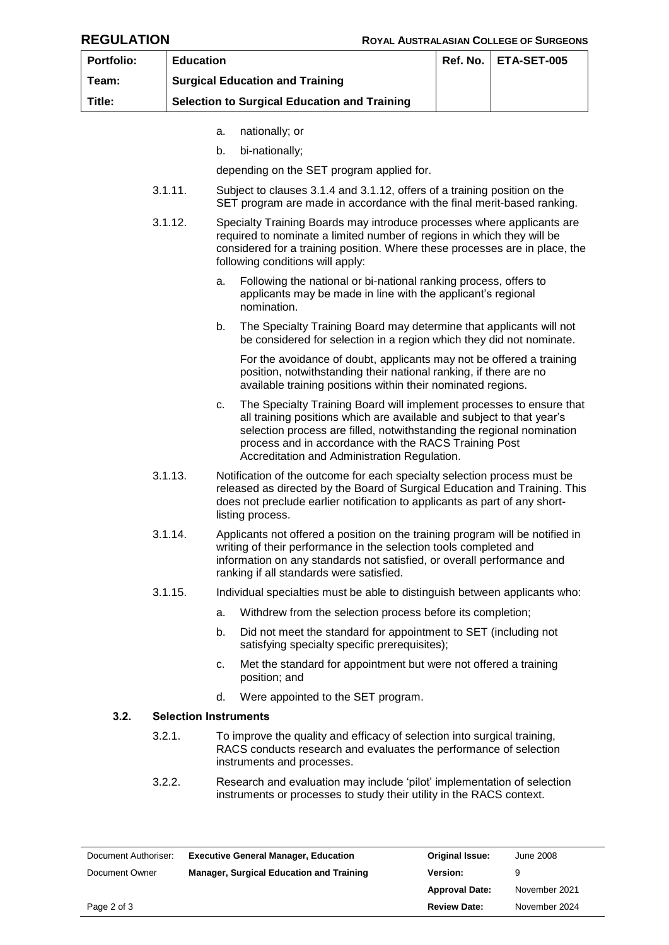| Portfolio: | <b>Education</b>                                                                                                                                                                                          |                                                                                                                                                                                                                                                                          |                                                                                                                                                                                                                                                                                                                                 | Ref. No.                                                                   | ETA-SET-005 |
|------------|-----------------------------------------------------------------------------------------------------------------------------------------------------------------------------------------------------------|--------------------------------------------------------------------------------------------------------------------------------------------------------------------------------------------------------------------------------------------------------------------------|---------------------------------------------------------------------------------------------------------------------------------------------------------------------------------------------------------------------------------------------------------------------------------------------------------------------------------|----------------------------------------------------------------------------|-------------|
| Team:      |                                                                                                                                                                                                           | <b>Surgical Education and Training</b>                                                                                                                                                                                                                                   |                                                                                                                                                                                                                                                                                                                                 |                                                                            |             |
| Title:     |                                                                                                                                                                                                           | <b>Selection to Surgical Education and Training</b>                                                                                                                                                                                                                      |                                                                                                                                                                                                                                                                                                                                 |                                                                            |             |
|            |                                                                                                                                                                                                           | a.                                                                                                                                                                                                                                                                       | nationally; or                                                                                                                                                                                                                                                                                                                  |                                                                            |             |
|            |                                                                                                                                                                                                           | b.                                                                                                                                                                                                                                                                       | bi-nationally;                                                                                                                                                                                                                                                                                                                  |                                                                            |             |
|            |                                                                                                                                                                                                           |                                                                                                                                                                                                                                                                          | depending on the SET program applied for.                                                                                                                                                                                                                                                                                       |                                                                            |             |
|            | 3.1.11.                                                                                                                                                                                                   |                                                                                                                                                                                                                                                                          | Subject to clauses 3.1.4 and 3.1.12, offers of a training position on the<br>SET program are made in accordance with the final merit-based ranking.                                                                                                                                                                             |                                                                            |             |
|            | 3.1.12.                                                                                                                                                                                                   |                                                                                                                                                                                                                                                                          | Specialty Training Boards may introduce processes where applicants are<br>required to nominate a limited number of regions in which they will be<br>considered for a training position. Where these processes are in place, the<br>following conditions will apply:                                                             |                                                                            |             |
|            |                                                                                                                                                                                                           |                                                                                                                                                                                                                                                                          | Following the national or bi-national ranking process, offers to<br>a.<br>applicants may be made in line with the applicant's regional<br>nomination.                                                                                                                                                                           |                                                                            |             |
|            |                                                                                                                                                                                                           |                                                                                                                                                                                                                                                                          | b.<br>The Specialty Training Board may determine that applicants will not<br>be considered for selection in a region which they did not nominate.                                                                                                                                                                               |                                                                            |             |
|            | For the avoidance of doubt, applicants may not be offered a training<br>position, notwithstanding their national ranking, if there are no<br>available training positions within their nominated regions. |                                                                                                                                                                                                                                                                          |                                                                                                                                                                                                                                                                                                                                 |                                                                            |             |
|            |                                                                                                                                                                                                           | c.                                                                                                                                                                                                                                                                       | The Specialty Training Board will implement processes to ensure that<br>all training positions which are available and subject to that year's<br>selection process are filled, notwithstanding the regional nomination<br>process and in accordance with the RACS Training Post<br>Accreditation and Administration Regulation. |                                                                            |             |
|            | 3.1.13.                                                                                                                                                                                                   | Notification of the outcome for each specialty selection process must be<br>released as directed by the Board of Surgical Education and Training. This<br>does not preclude earlier notification to applicants as part of any short-<br>listing process.                 |                                                                                                                                                                                                                                                                                                                                 |                                                                            |             |
|            | 3.1.14.                                                                                                                                                                                                   | Applicants not offered a position on the training program will be notified in<br>writing of their performance in the selection tools completed and<br>information on any standards not satisfied, or overall performance and<br>ranking if all standards were satisfied. |                                                                                                                                                                                                                                                                                                                                 |                                                                            |             |
|            | 3.1.15.                                                                                                                                                                                                   |                                                                                                                                                                                                                                                                          |                                                                                                                                                                                                                                                                                                                                 | Individual specialties must be able to distinguish between applicants who: |             |
|            |                                                                                                                                                                                                           | a.                                                                                                                                                                                                                                                                       | Withdrew from the selection process before its completion;                                                                                                                                                                                                                                                                      |                                                                            |             |
|            |                                                                                                                                                                                                           | b.                                                                                                                                                                                                                                                                       | Did not meet the standard for appointment to SET (including not<br>satisfying specialty specific prerequisites);                                                                                                                                                                                                                |                                                                            |             |
|            |                                                                                                                                                                                                           | c.                                                                                                                                                                                                                                                                       | Met the standard for appointment but were not offered a training<br>position; and                                                                                                                                                                                                                                               |                                                                            |             |
|            |                                                                                                                                                                                                           | d.                                                                                                                                                                                                                                                                       | Were appointed to the SET program.                                                                                                                                                                                                                                                                                              |                                                                            |             |
| 3.2.       | <b>Selection Instruments</b>                                                                                                                                                                              |                                                                                                                                                                                                                                                                          |                                                                                                                                                                                                                                                                                                                                 |                                                                            |             |
|            | 3.2.1.                                                                                                                                                                                                    |                                                                                                                                                                                                                                                                          | To improve the quality and efficacy of selection into surgical training,<br>RACS conducts research and evaluates the performance of selection<br>instruments and processes.                                                                                                                                                     |                                                                            |             |
|            | 3.2.2.                                                                                                                                                                                                    |                                                                                                                                                                                                                                                                          | Research and evaluation may include 'pilot' implementation of selection<br>instruments or processes to study their utility in the RACS context.                                                                                                                                                                                 |                                                                            |             |
|            |                                                                                                                                                                                                           |                                                                                                                                                                                                                                                                          |                                                                                                                                                                                                                                                                                                                                 |                                                                            |             |

| Document Authoriser: | <b>Executive General Manager, Education</b>     | <b>Original Issue:</b> | June 2008     |
|----------------------|-------------------------------------------------|------------------------|---------------|
| Document Owner       | <b>Manager, Surgical Education and Training</b> | Version:               |               |
|                      |                                                 | <b>Approval Date:</b>  | November 2021 |
| Page 2 of 3          |                                                 | <b>Review Date:</b>    | November 2024 |